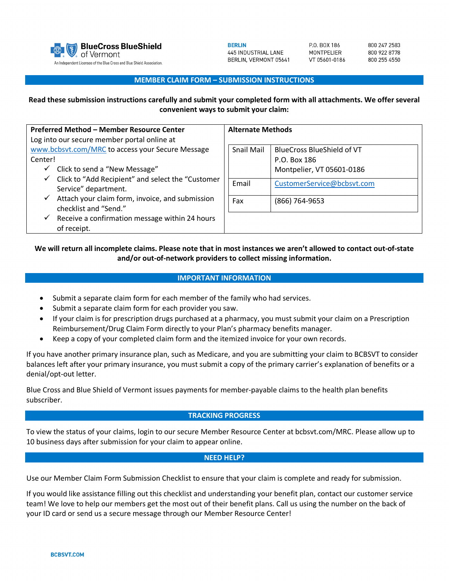

800 247 2583 800 922 8778 800 255 4550

### **MEMBER CLAIM FORM – SUBMISSION INSTRUCTIONS**

## **Read these submission instructions carefully and submit your completed form with all attachments. We offer several convenient ways to submit your claim:**

| Preferred Method - Member Resource Center                                                 | <b>Alternate Methods</b> |                                   |
|-------------------------------------------------------------------------------------------|--------------------------|-----------------------------------|
| Log into our secure member portal online at                                               |                          |                                   |
| www.bcbsvt.com/MRC to access your Secure Message                                          | <b>Snail Mail</b>        | <b>BlueCross BlueShield of VT</b> |
| Center!                                                                                   |                          | P.O. Box 186                      |
| Click to send a "New Message"<br>✓                                                        |                          | Montpelier, VT 05601-0186         |
| Click to "Add Recipient" and select the "Customer<br>$\checkmark$<br>Service" department. | Email                    | CustomerService@bcbsvt.com        |
| Attach your claim form, invoice, and submission<br>$\checkmark$<br>checklist and "Send."  | Fax                      | (866) 764-9653                    |
| Receive a confirmation message within 24 hours<br>$\checkmark$<br>of receipt.             |                          |                                   |

# **We will return all incomplete claims. Please note that in most instances we aren't allowed to contact out-of-state and/or out-of-network providers to collect missing information.**

## **IMPORTANT INFORMATION**

- Submit a separate claim form for each member of the family who had services.
- Submit a separate claim form for each provider you saw.
- If your claim is for prescription drugs purchased at a pharmacy, you must submit your claim on a Prescription Reimbursement/Drug Claim Form directly to your Plan's pharmacy benefits manager.
- Keep a copy of your completed claim form and the itemized invoice for your own records.

If you have another primary insurance plan, such as Medicare, and you are submitting your claim to BCBSVT to consider balances left after your primary insurance, you must submit a copy of the primary carrier's explanation of benefits or a denial/opt-out letter.

Blue Cross and Blue Shield of Vermont issues payments for member-payable claims to the health plan benefits subscriber.

## **TRACKING PROGRESS**

To view the status of your claims, login to our secure Member Resource Center at bcbsvt.com/MRC. Please allow up to 10 business days after submission for your claim to appear online.

#### **NEED HELP?**

Use our Member Claim Form Submission Checklist to ensure that your claim is complete and ready for submission.

If you would like assistance filling out this checklist and understanding your benefit plan, contact our customer service team! We love to help our members get the most out of their benefit plans. Call us using the number on the back of your ID card or send us a secure message through our Member Resource Center!